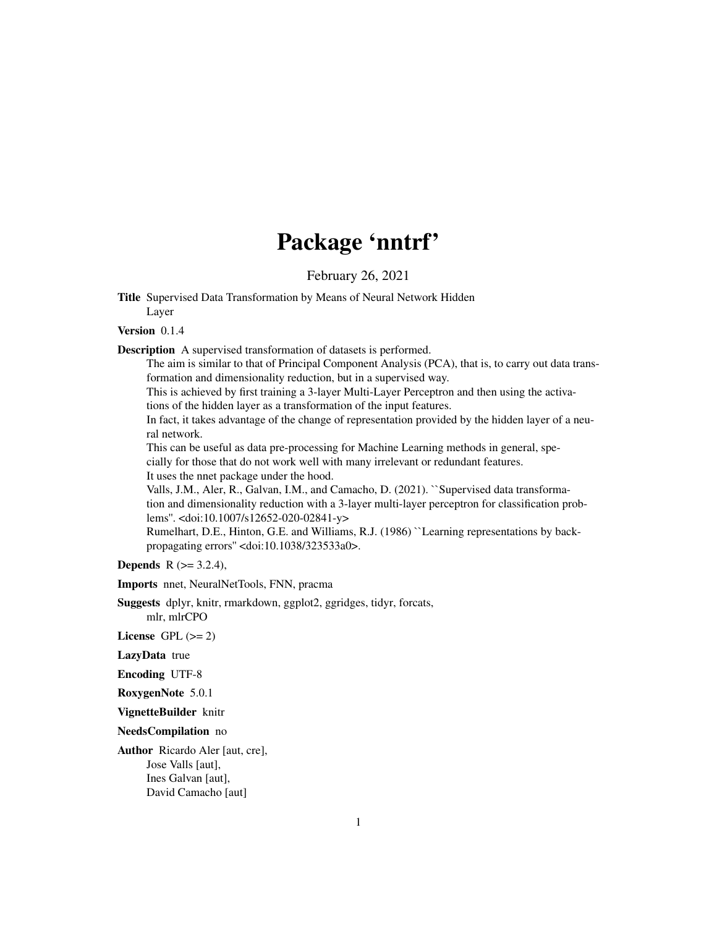# Package 'nntrf'

February 26, 2021

<span id="page-0-0"></span>Title Supervised Data Transformation by Means of Neural Network Hidden Layer

#### Version 0.1.4

Description A supervised transformation of datasets is performed.

The aim is similar to that of Principal Component Analysis (PCA), that is, to carry out data transformation and dimensionality reduction, but in a supervised way.

This is achieved by first training a 3-layer Multi-Layer Perceptron and then using the activations of the hidden layer as a transformation of the input features.

In fact, it takes advantage of the change of representation provided by the hidden layer of a neural network.

This can be useful as data pre-processing for Machine Learning methods in general, specially for those that do not work well with many irrelevant or redundant features.

It uses the nnet package under the hood.

Valls, J.M., Aler, R., Galvan, I.M., and Camacho, D. (2021). ``Supervised data transformation and dimensionality reduction with a 3-layer multi-layer perceptron for classification problems''. <doi:10.1007/s12652-020-02841-y>

Rumelhart, D.E., Hinton, G.E. and Williams, R.J. (1986) ``Learning representations by backpropagating errors'' <doi:10.1038/323533a0>.

**Depends** R  $(>= 3.2.4)$ ,

Imports nnet, NeuralNetTools, FNN, pracma

Suggests dplyr, knitr, rmarkdown, ggplot2, ggridges, tidyr, forcats, mlr, mlrCPO

License GPL  $(>= 2)$ 

LazyData true

Encoding UTF-8

RoxygenNote 5.0.1

VignetteBuilder knitr

NeedsCompilation no

Author Ricardo Aler [aut, cre], Jose Valls [aut], Ines Galvan [aut], David Camacho [aut]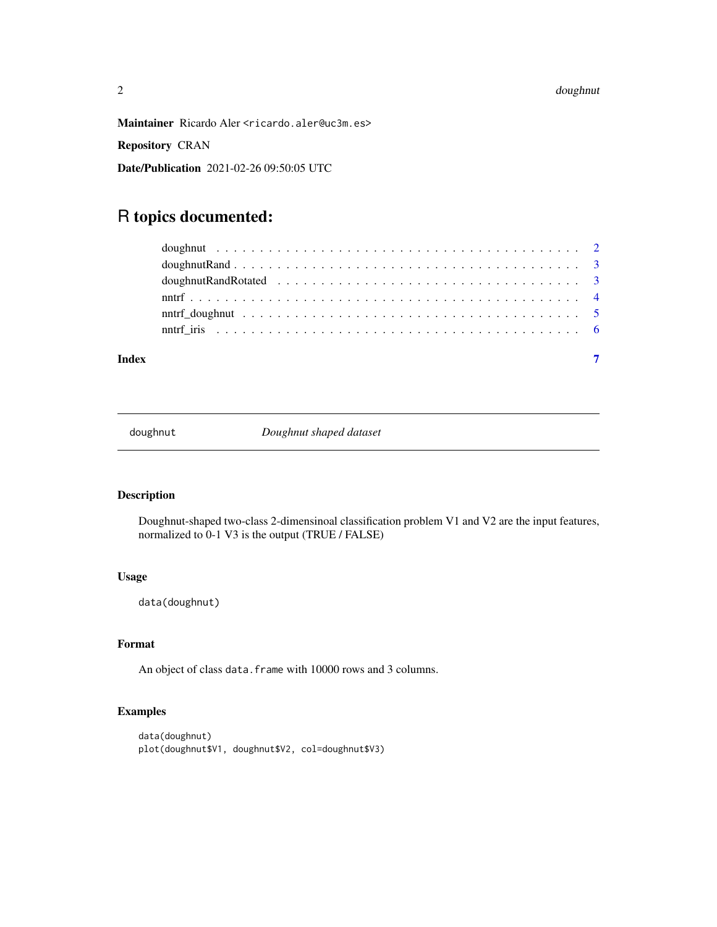#### <span id="page-1-0"></span>2 doughnut

Repository CRAN

Date/Publication 2021-02-26 09:50:05 UTC

## R topics documented:

| Index |  |
|-------|--|

doughnut *Doughnut shaped dataset*

### Description

Doughnut-shaped two-class 2-dimensinoal classification problem V1 and V2 are the input features, normalized to 0-1 V3 is the output (TRUE / FALSE)

#### Usage

data(doughnut)

#### Format

An object of class data. frame with 10000 rows and 3 columns.

#### Examples

```
data(doughnut)
plot(doughnut$V1, doughnut$V2, col=doughnut$V3)
```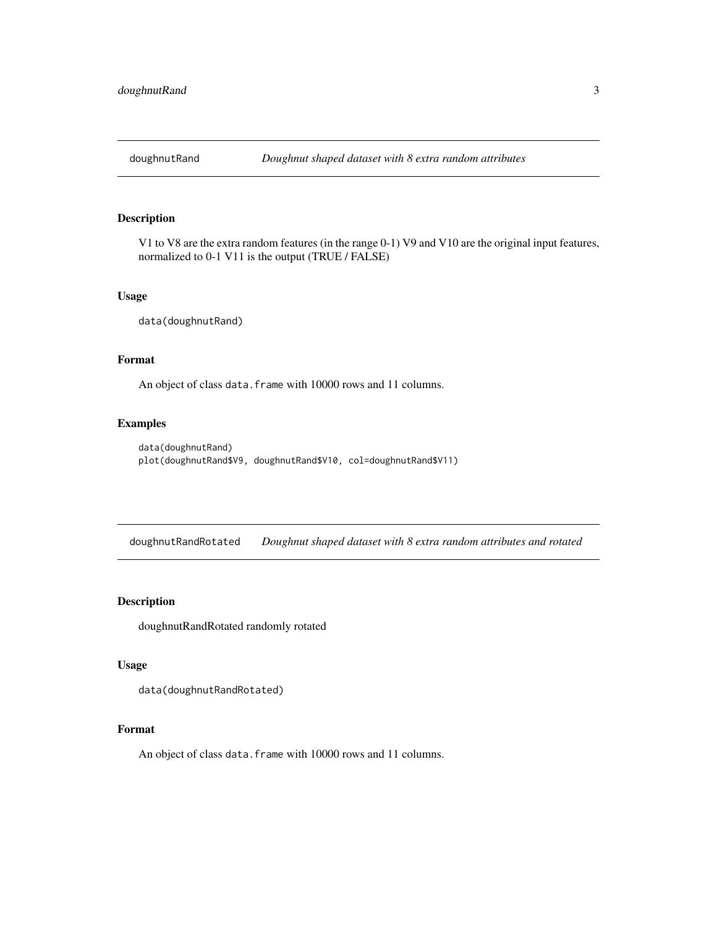<span id="page-2-0"></span>

#### Description

V1 to V8 are the extra random features (in the range 0-1) V9 and V10 are the original input features, normalized to 0-1 V11 is the output (TRUE / FALSE)

#### Usage

data(doughnutRand)

#### Format

An object of class data. frame with 10000 rows and 11 columns.

#### Examples

```
data(doughnutRand)
plot(doughnutRand$V9, doughnutRand$V10, col=doughnutRand$V11)
```
doughnutRandRotated *Doughnut shaped dataset with 8 extra random attributes and rotated*

#### Description

doughnutRandRotated randomly rotated

#### Usage

data(doughnutRandRotated)

#### Format

An object of class data. frame with 10000 rows and 11 columns.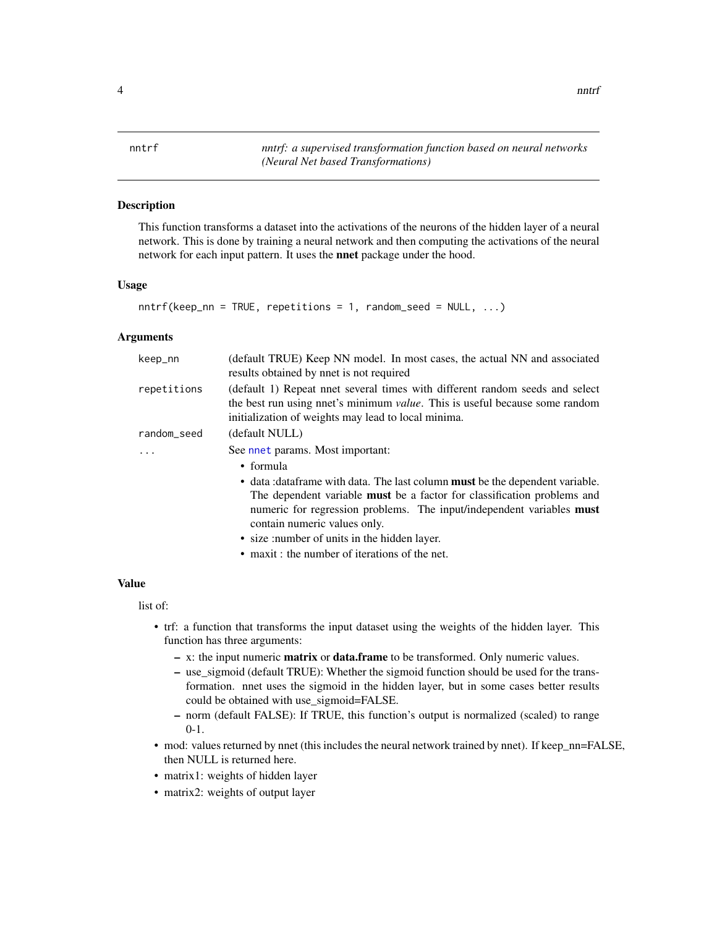<span id="page-3-0"></span>4 nntrf

nntrf *nntrf: a supervised transformation function based on neural networks (Neural Net based Transformations)*

#### **Description**

This function transforms a dataset into the activations of the neurons of the hidden layer of a neural network. This is done by training a neural network and then computing the activations of the neural network for each input pattern. It uses the nnet package under the hood.

#### Usage

```
nnntrf(keep_nn = TRUE, repetitions = 1, random_seed = NULL, ...)
```
#### Arguments

| keep_nn     | (default TRUE) Keep NN model. In most cases, the actual NN and associated<br>results obtained by nnet is not required                                                                                                      |
|-------------|----------------------------------------------------------------------------------------------------------------------------------------------------------------------------------------------------------------------------|
| repetitions | (default 1) Repeat nnet several times with different random seeds and select<br>the best run using nnet's minimum <i>value</i> . This is useful because some random<br>initialization of weights may lead to local minima. |
| random_seed | (default NULL)                                                                                                                                                                                                             |
|             | See nnet params. Most important:                                                                                                                                                                                           |
|             | $\bullet$ formula                                                                                                                                                                                                          |
|             | • data : data frame with data. The last column <b>must</b> be the dependent variable.<br>The dependent variable <b>must</b> be a factor for classification problems and                                                    |
|             | numeric for regression problems. The input/independent variables <b>must</b><br>contain numeric values only.                                                                                                               |
|             | • size : number of units in the hidden layer.                                                                                                                                                                              |
|             | • maxit : the number of iterations of the net.                                                                                                                                                                             |

#### Value

list of:

- trf: a function that transforms the input dataset using the weights of the hidden layer. This function has three arguments:
	- x: the input numeric matrix or data.frame to be transformed. Only numeric values.
	- use\_sigmoid (default TRUE): Whether the sigmoid function should be used for the transformation. nnet uses the sigmoid in the hidden layer, but in some cases better results could be obtained with use\_sigmoid=FALSE.
	- norm (default FALSE): If TRUE, this function's output is normalized (scaled) to range 0-1.
- mod: values returned by nnet (this includes the neural network trained by nnet). If keep\_nn=FALSE, then NULL is returned here.
- matrix1: weights of hidden layer
- matrix2: weights of output layer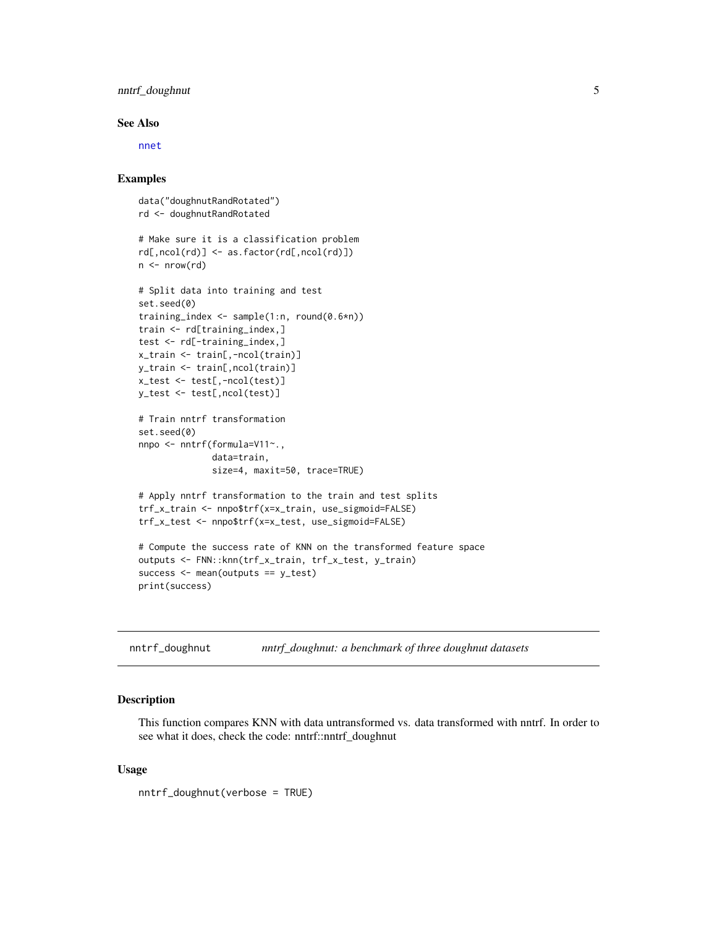#### <span id="page-4-0"></span>nntrf\_doughnut 5

#### See Also

[nnet](#page-0-0)

#### Examples

```
data("doughnutRandRotated")
rd <- doughnutRandRotated
# Make sure it is a classification problem
rd[,ncol(rd)] <- as.factor(rd[,ncol(rd)])
n \leq -nrow(rd)# Split data into training and test
set.seed(0)
training_index <- sample(1:n, round(0.6*n))
train <- rd[training_index,]
test <- rd[-training_index,]
x_train <- train[,-ncol(train)]
y_train <- train[,ncol(train)]
x_test <- test[,-ncol(test)]
y_test <- test[,ncol(test)]
# Train nntrf transformation
set.seed(0)
nnpo <- nntrf(formula=V11~.,
              data=train,
              size=4, maxit=50, trace=TRUE)
# Apply nntrf transformation to the train and test splits
trf_x_train <- nnpo$trf(x=x_train, use_sigmoid=FALSE)
trf_x_test <- nnpo$trf(x=x_test, use_sigmoid=FALSE)
# Compute the success rate of KNN on the transformed feature space
outputs <- FNN::knn(trf_x_train, trf_x_test, y_train)
success <- mean(outputs == y_test)
print(success)
```
nntrf\_doughnut *nntrf\_doughnut: a benchmark of three doughnut datasets*

#### Description

This function compares KNN with data untransformed vs. data transformed with nntrf. In order to see what it does, check the code: nntrf::nntrf\_doughnut

#### Usage

nntrf\_doughnut(verbose = TRUE)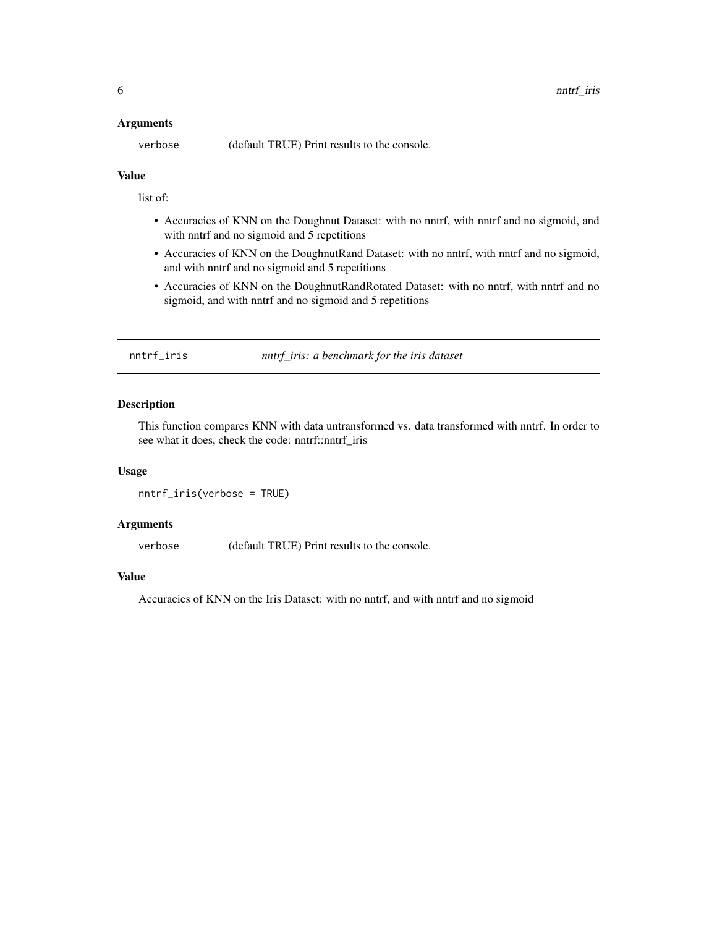#### <span id="page-5-0"></span>Arguments

verbose (default TRUE) Print results to the console.

#### Value

list of:

- Accuracies of KNN on the Doughnut Dataset: with no nntrf, with nntrf and no sigmoid, and with nntrf and no sigmoid and 5 repetitions
- Accuracies of KNN on the DoughnutRand Dataset: with no nntrf, with nntrf and no sigmoid, and with nntrf and no sigmoid and 5 repetitions
- Accuracies of KNN on the DoughnutRandRotated Dataset: with no nntrf, with nntrf and no sigmoid, and with nntrf and no sigmoid and 5 repetitions

nntrf\_iris *nntrf\_iris: a benchmark for the iris dataset*

#### Description

This function compares KNN with data untransformed vs. data transformed with nntrf. In order to see what it does, check the code: nntrf::nntrf\_iris

#### Usage

```
nntrf_iris(verbose = TRUE)
```
#### Arguments

verbose (default TRUE) Print results to the console.

#### Value

Accuracies of KNN on the Iris Dataset: with no nntrf, and with nntrf and no sigmoid